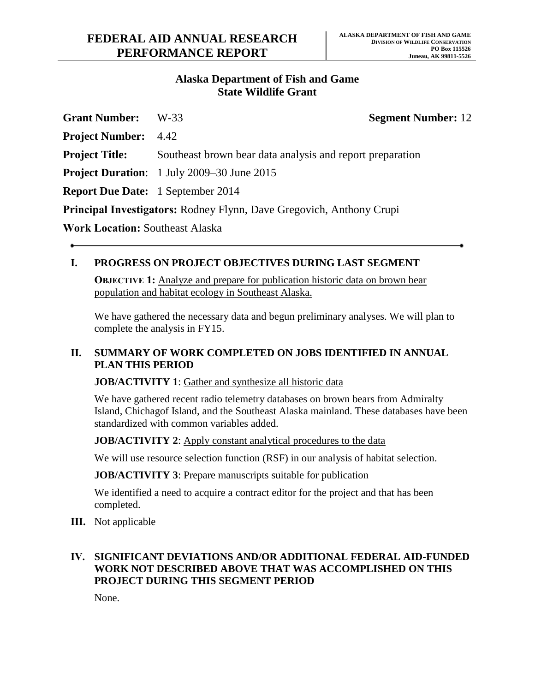### **Alaska Department of Fish and Game State Wildlife Grant**

| <b>Grant Number:</b>                     | W-33                                                                        | <b>Segment Number: 12</b> |
|------------------------------------------|-----------------------------------------------------------------------------|---------------------------|
| <b>Project Number:</b> 4.42              |                                                                             |                           |
| <b>Project Title:</b>                    | Southeast brown bear data analysis and report preparation                   |                           |
|                                          | <b>Project Duration:</b> 1 July 2009–30 June 2015                           |                           |
| <b>Report Due Date:</b> 1 September 2014 |                                                                             |                           |
|                                          | <b>Principal Investigators:</b> Rodney Flynn, Dave Gregovich, Anthony Crupi |                           |
| <b>Work Location: Southeast Alaska</b>   |                                                                             |                           |

### **I. PROGRESS ON PROJECT OBJECTIVES DURING LAST SEGMENT**

**OBJECTIVE 1:** Analyze and prepare for publication historic data on brown bear population and habitat ecology in Southeast Alaska.

We have gathered the necessary data and begun preliminary analyses. We will plan to complete the analysis in FY15.

#### **II. SUMMARY OF WORK COMPLETED ON JOBS IDENTIFIED IN ANNUAL PLAN THIS PERIOD**

#### **JOB/ACTIVITY 1**: Gather and synthesize all historic data

We have gathered recent radio telemetry databases on brown bears from Admiralty Island, Chichagof Island, and the Southeast Alaska mainland. These databases have been standardized with common variables added.

**JOB/ACTIVITY 2:** Apply constant analytical procedures to the data

We will use resource selection function (RSF) in our analysis of habitat selection.

**JOB/ACTIVITY 3**: Prepare manuscripts suitable for publication

We identified a need to acquire a contract editor for the project and that has been completed.

**III.** Not applicable

## **IV. SIGNIFICANT DEVIATIONS AND/OR ADDITIONAL FEDERAL AID-FUNDED WORK NOT DESCRIBED ABOVE THAT WAS ACCOMPLISHED ON THIS PROJECT DURING THIS SEGMENT PERIOD**

None.